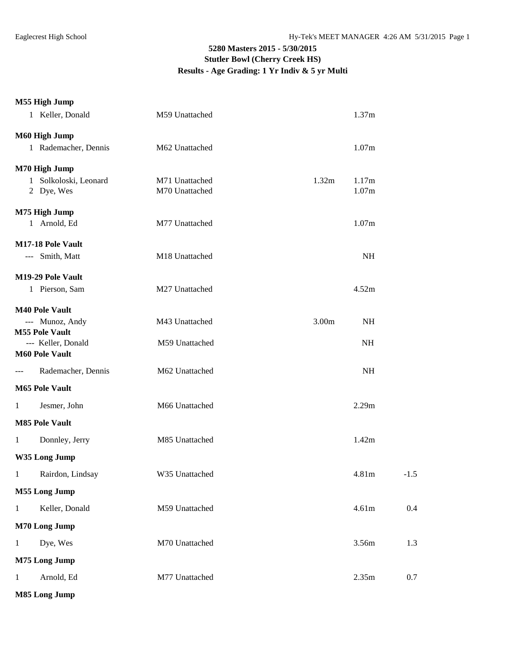### **M55 High Jump**

|               | 1 Keller, Donald                            | M59 Unattached |                   | 1.37m     |        |  |
|---------------|---------------------------------------------|----------------|-------------------|-----------|--------|--|
| M60 High Jump |                                             |                |                   |           |        |  |
|               | 1 Rademacher, Dennis                        | M62 Unattached |                   | 1.07m     |        |  |
|               | M70 High Jump                               |                |                   |           |        |  |
|               | 1 Solkoloski, Leonard                       | M71 Unattached | 1.32m             | 1.17m     |        |  |
|               | 2 Dye, Wes                                  | M70 Unattached |                   | 1.07m     |        |  |
|               | M75 High Jump                               |                |                   |           |        |  |
|               | 1 Arnold, Ed                                | M77 Unattached |                   | 1.07m     |        |  |
|               | M17-18 Pole Vault                           |                |                   |           |        |  |
|               | --- Smith, Matt                             | M18 Unattached |                   | <b>NH</b> |        |  |
|               | M19-29 Pole Vault                           |                |                   |           |        |  |
|               | 1 Pierson, Sam                              | M27 Unattached |                   | 4.52m     |        |  |
|               | <b>M40 Pole Vault</b>                       |                |                   |           |        |  |
|               | --- Munoz, Andy                             | M43 Unattached | 3.00 <sub>m</sub> | <b>NH</b> |        |  |
|               | <b>M55 Pole Vault</b>                       |                |                   |           |        |  |
|               | --- Keller, Donald<br><b>M60 Pole Vault</b> | M59 Unattached |                   | <b>NH</b> |        |  |
| ---           | Rademacher, Dennis                          | M62 Unattached |                   | NH        |        |  |
|               | <b>M65 Pole Vault</b>                       |                |                   |           |        |  |
|               |                                             |                |                   |           |        |  |
| 1             | Jesmer, John                                | M66 Unattached |                   | 2.29m     |        |  |
|               | <b>M85 Pole Vault</b>                       |                |                   |           |        |  |
| $\mathbf{1}$  | Donnley, Jerry                              | M85 Unattached |                   | 1.42m     |        |  |
| W35 Long Jump |                                             |                |                   |           |        |  |
| 1             | Rairdon, Lindsay                            | W35 Unattached |                   | 4.81m     | $-1.5$ |  |
|               | <b>M55 Long Jump</b>                        |                |                   |           |        |  |
| $\mathbf{1}$  | Keller, Donald                              | M59 Unattached |                   | 4.61m     | 0.4    |  |
| M70 Long Jump |                                             |                |                   |           |        |  |
| $\mathbf{1}$  | Dye, Wes                                    | M70 Unattached |                   | 3.56m     | 1.3    |  |
| M75 Long Jump |                                             |                |                   |           |        |  |
| $\mathbf{1}$  | Arnold, Ed                                  | M77 Unattached |                   | 2.35m     | 0.7    |  |
|               | M85 Long Jump                               |                |                   |           |        |  |
|               |                                             |                |                   |           |        |  |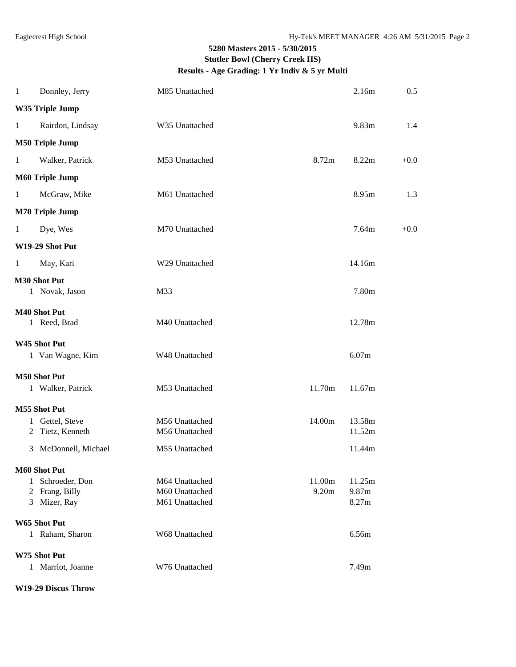| $\mathbf{1}$           | Donnley, Jerry                      | M85 Unattached |        | 2.16m  | 0.5    |  |  |  |
|------------------------|-------------------------------------|----------------|--------|--------|--------|--|--|--|
|                        | W35 Triple Jump                     |                |        |        |        |  |  |  |
| $\mathbf{1}$           | Rairdon, Lindsay                    | W35 Unattached |        | 9.83m  | 1.4    |  |  |  |
|                        | <b>M50 Triple Jump</b>              |                |        |        |        |  |  |  |
| $\mathbf{1}$           | Walker, Patrick                     | M53 Unattached | 8.72m  | 8.22m  | $+0.0$ |  |  |  |
|                        | <b>M60 Triple Jump</b>              |                |        |        |        |  |  |  |
| $\mathbf{1}$           | McGraw, Mike                        | M61 Unattached |        | 8.95m  | 1.3    |  |  |  |
| <b>M70 Triple Jump</b> |                                     |                |        |        |        |  |  |  |
| 1                      | Dye, Wes                            | M70 Unattached |        | 7.64m  | $+0.0$ |  |  |  |
|                        | W19-29 Shot Put                     |                |        |        |        |  |  |  |
| $\mathbf{1}$           | May, Kari                           | W29 Unattached |        | 14.16m |        |  |  |  |
|                        | M30 Shot Put<br>1 Novak, Jason      | M33            |        | 7.80m  |        |  |  |  |
|                        | <b>M40 Shot Put</b><br>1 Reed, Brad | M40 Unattached |        | 12.78m |        |  |  |  |
|                        | W45 Shot Put                        |                |        |        |        |  |  |  |
|                        | 1 Van Wagne, Kim                    | W48 Unattached |        | 6.07m  |        |  |  |  |
|                        | M50 Shot Put                        |                |        |        |        |  |  |  |
|                        | 1 Walker, Patrick                   | M53 Unattached | 11.70m | 11.67m |        |  |  |  |
|                        | M55 Shot Put                        |                |        |        |        |  |  |  |
|                        | 1 Gettel, Steve                     | M56 Unattached | 14.00m | 13.58m |        |  |  |  |
|                        | 2 Tietz, Kenneth                    | M56 Unattached |        | 11.52m |        |  |  |  |
|                        | 3 McDonnell, Michael                | M55 Unattached |        | 11.44m |        |  |  |  |
|                        | M60 Shot Put                        |                |        |        |        |  |  |  |
| 1                      | Schroeder, Don                      | M64 Unattached | 11.00m | 11.25m |        |  |  |  |
| 2                      | Frang, Billy                        | M60 Unattached | 9.20m  | 9.87m  |        |  |  |  |
|                        | 3 Mizer, Ray                        | M61 Unattached |        | 8.27m  |        |  |  |  |
| W65 Shot Put           |                                     |                |        |        |        |  |  |  |
|                        | 1 Raham, Sharon                     | W68 Unattached |        | 6.56m  |        |  |  |  |
|                        | W75 Shot Put                        |                |        |        |        |  |  |  |
|                        | 1 Marriot, Joanne                   | W76 Unattached |        | 7.49m  |        |  |  |  |

#### **W19-29 Discus Throw**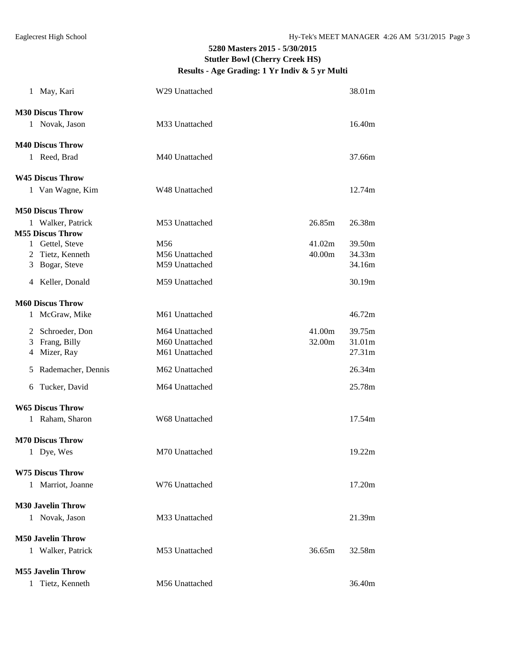|   | 1 May, Kari              | W29 Unattached  |        | 38.01m |
|---|--------------------------|-----------------|--------|--------|
|   | <b>M30 Discus Throw</b>  |                 |        |        |
|   | 1 Novak, Jason           | M33 Unattached  |        | 16.40m |
|   | <b>M40 Discus Throw</b>  |                 |        |        |
|   | 1 Reed, Brad             | M40 Unattached  |        | 37.66m |
|   | <b>W45 Discus Throw</b>  |                 |        |        |
|   | 1 Van Wagne, Kim         | W48 Unattached  |        | 12.74m |
|   | <b>M50 Discus Throw</b>  |                 |        |        |
|   | 1 Walker, Patrick        | M53 Unattached  | 26.85m | 26.38m |
|   | <b>M55 Discus Throw</b>  |                 |        |        |
|   | 1 Gettel, Steve          | M <sub>56</sub> | 41.02m | 39.50m |
|   | 2 Tietz, Kenneth         | M56 Unattached  | 40.00m | 34.33m |
|   | 3 Bogar, Steve           | M59 Unattached  |        | 34.16m |
|   | 4 Keller, Donald         | M59 Unattached  |        | 30.19m |
|   | <b>M60 Discus Throw</b>  |                 |        |        |
|   | 1 McGraw, Mike           | M61 Unattached  |        | 46.72m |
|   | 2 Schroeder, Don         | M64 Unattached  | 41.00m | 39.75m |
| 3 | Frang, Billy             | M60 Unattached  | 32.00m | 31.01m |
|   | 4 Mizer, Ray             | M61 Unattached  |        | 27.31m |
| 5 | Rademacher, Dennis       | M62 Unattached  |        | 26.34m |
| 6 | Tucker, David            | M64 Unattached  |        | 25.78m |
|   | <b>W65 Discus Throw</b>  |                 |        |        |
|   | 1 Raham, Sharon          | W68 Unattached  |        | 17.54m |
|   | <b>M70 Discus Throw</b>  |                 |        |        |
|   | 1 Dye, Wes               | M70 Unattached  |        | 19.22m |
|   | <b>W75 Discus Throw</b>  |                 |        |        |
|   | 1 Marriot, Joanne        | W76 Unattached  |        | 17.20m |
|   | <b>M30 Javelin Throw</b> |                 |        |        |
|   | 1 Novak, Jason           | M33 Unattached  |        | 21.39m |
|   | <b>M50 Javelin Throw</b> |                 |        |        |
|   | 1 Walker, Patrick        | M53 Unattached  | 36.65m | 32.58m |
|   |                          |                 |        |        |
|   | <b>M55 Javelin Throw</b> |                 |        |        |
|   | 1 Tietz, Kenneth         | M56 Unattached  |        | 36.40m |